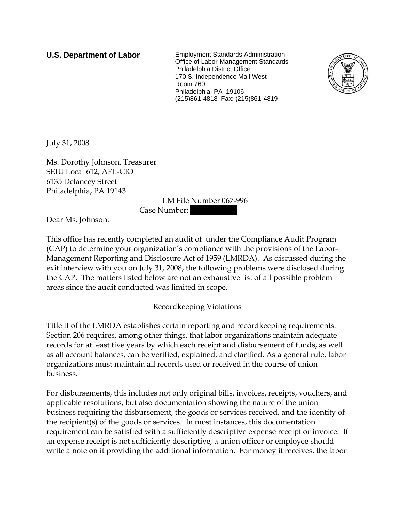**U.S. Department of Labor** Employment Standards Administration Office of Labor-Management Standards Philadelphia District Office 170 S. Independence Mall West Room 760 Philadelphia, PA 19106 (215)861-4818 Fax: (215)861-4819



July 31, 2008

Ms. Dorothy Johnson, Treasurer SEIU Local 612, AFL-CIO 6135 Delancey Street Philadelphia, PA 19143

LM File Number 067-996

Case Number:

Dear Ms. Johnson:

This office has recently completed an audit of under the Compliance Audit Program (CAP) to determine your organization's compliance with the provisions of the Labor-Management Reporting and Disclosure Act of 1959 (LMRDA). As discussed during the exit interview with you on July 31, 2008, the following problems were disclosed during the CAP. The matters listed below are not an exhaustive list of all possible problem areas since the audit conducted was limited in scope.

## Recordkeeping Violations

Title II of the LMRDA establishes certain reporting and recordkeeping requirements. Section 206 requires, among other things, that labor organizations maintain adequate records for at least five years by which each receipt and disbursement of funds, as well as all account balances, can be verified, explained, and clarified. As a general rule, labor organizations must maintain all records used or received in the course of union business.

For disbursements, this includes not only original bills, invoices, receipts, vouchers, and applicable resolutions, but also documentation showing the nature of the union business requiring the disbursement, the goods or services received, and the identity of the recipient(s) of the goods or services. In most instances, this documentation requirement can be satisfied with a sufficiently descriptive expense receipt or invoice. If an expense receipt is not sufficiently descriptive, a union officer or employee should write a note on it providing the additional information. For money it receives, the labor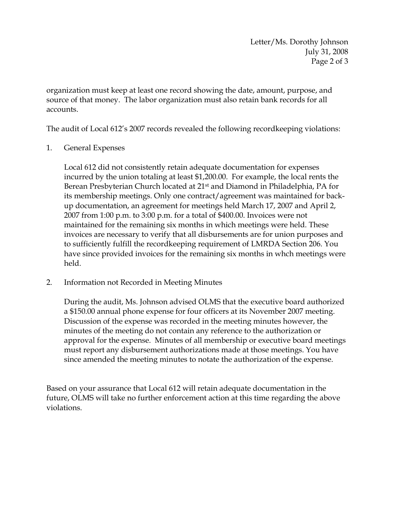Letter/Ms. Dorothy Johnson July 31, 2008 Page 2 of 3

organization must keep at least one record showing the date, amount, purpose, and source of that money. The labor organization must also retain bank records for all accounts.

The audit of Local 612's 2007 records revealed the following recordkeeping violations:

1. General Expenses

Local 612 did not consistently retain adequate documentation for expenses incurred by the union totaling at least \$1,200.00. For example, the local rents the Berean Presbyterian Church located at 21<sup>st</sup> and Diamond in Philadelphia, PA for its membership meetings. Only one contract/agreement was maintained for backup documentation, an agreement for meetings held March 17, 2007 and April 2, 2007 from 1:00 p.m. to 3:00 p.m. for a total of \$400.00. Invoices were not maintained for the remaining six months in which meetings were held. These invoices are necessary to verify that all disbursements are for union purposes and to sufficiently fulfill the recordkeeping requirement of LMRDA Section 206. You have since provided invoices for the remaining six months in whch meetings were held.

2. Information not Recorded in Meeting Minutes

During the audit, Ms. Johnson advised OLMS that the executive board authorized a \$150.00 annual phone expense for four officers at its November 2007 meeting. Discussion of the expense was recorded in the meeting minutes however, the minutes of the meeting do not contain any reference to the authorization or approval for the expense. Minutes of all membership or executive board meetings must report any disbursement authorizations made at those meetings. You have since amended the meeting minutes to notate the authorization of the expense.

Based on your assurance that Local 612 will retain adequate documentation in the future, OLMS will take no further enforcement action at this time regarding the above violations.